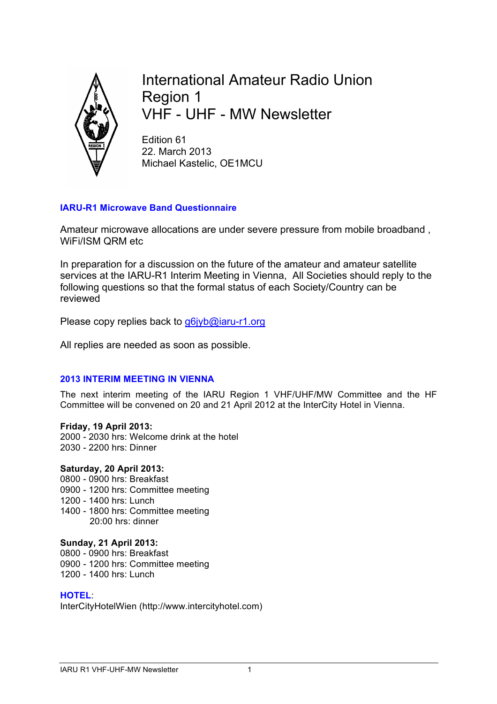

International Amateur Radio Union Region 1 VHF - UHF - MW Newsletter

Edition 61 22. March 2013 Michael Kastelic, OE1MCU

## **IARU-R1 Microwave Band Questionnaire**

Amateur microwave allocations are under severe pressure from mobile broadband , WiFi/ISM QRM etc

In preparation for a discussion on the future of the amateur and amateur satellite services at the IARU-R1 Interim Meeting in Vienna, All Societies should reply to the following questions so that the formal status of each Society/Country can be reviewed

Please copy replies back to g6jyb@iaru-r1.org

All replies are needed as soon as possible.

## **2013 INTERIM MEETING IN VIENNA**

The next interim meeting of the IARU Region 1 VHF/UHF/MW Committee and the HF Committee will be convened on 20 and 21 April 2012 at the InterCity Hotel in Vienna.

**Friday, 19 April 2013:** 2000 - 2030 hrs: Welcome drink at the hotel 2030 - 2200 hrs: Dinner

## **Saturday, 20 April 2013:**

- 0800 0900 hrs: Breakfast
- 0900 1200 hrs: Committee meeting
- 1200 1400 hrs: Lunch
- 1400 1800 hrs: Committee meeting 20:00 hrs: dinner

### **Sunday, 21 April 2013:**

0800 - 0900 hrs: Breakfast 0900 - 1200 hrs: Committee meeting 1200 - 1400 hrs: Lunch

### **HOTEL**:

InterCityHotelWien (http://www.intercityhotel.com)